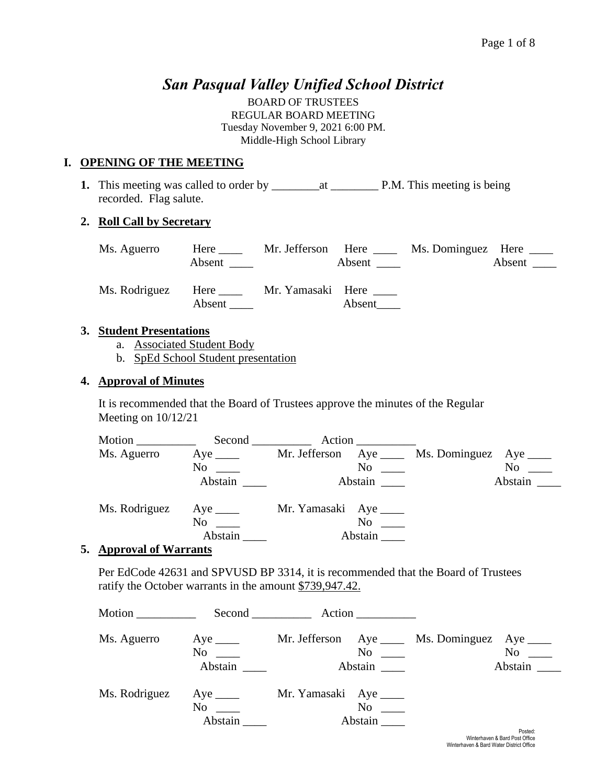# *San Pasqual Valley Unified School District*

BOARD OF TRUSTEES REGULAR BOARD MEETING Tuesday November 9, 2021 6:00 PM. Middle-High School Library

### **I. OPENING OF THE MEETING**

**1.** This meeting was called to order by \_\_\_\_\_\_\_\_at \_\_\_\_\_\_\_\_ P.M. This meeting is being recorded. Flag salute.

#### **2. Roll Call by Secretary**

| Ms. Aguerro   | Here                  | Mr. Jefferson Here |               | Ms. Dominguez Here _____ |               |
|---------------|-----------------------|--------------------|---------------|--------------------------|---------------|
|               | Absent                |                    | Absent $\_\_$ |                          | Absent $\_\_$ |
| Ms. Rodriguez | Here $\_\_$<br>Absent | Mr. Yamasaki Here  | Absent        |                          |               |

#### **3. Student Presentations**

- a. Associated Student Body
- b. SpEd School Student presentation

### **4. Approval of Minutes**

It is recommended that the Board of Trustees approve the minutes of the Regular Meeting on 10/12/21

| Motion        | $Second$ <sub>__________</sub>    | Action                  |                                    |
|---------------|-----------------------------------|-------------------------|------------------------------------|
| Ms. Aguerro   | $Aye$ <sub>____</sub>             | Mr. Jefferson           | Aye ______ Ms. Dominguez Aye _____ |
|               | No<br>$\mathcal{L}=\{1,2,3,4\}$ . | No                      | No                                 |
|               | Abstain                           | Abstain                 | Abstain $\qquad$                   |
| Ms. Rodriguez | Aye $\_\_\_\_\_\$                 | Mr. Yamasaki Aye ______ |                                    |
|               | No                                | N <sub>0</sub>          |                                    |
|               | Abstain                           | Abstain                 |                                    |

#### **5. Approval of Warrants**

Per EdCode 42631 and SPVUSD BP 3314, it is recommended that the Board of Trustees ratify the October warrants in the amount \$739,947.42.

| Motion        | Second                                                                                                                                                                                                                                                                 | Action                                                       |                             |
|---------------|------------------------------------------------------------------------------------------------------------------------------------------------------------------------------------------------------------------------------------------------------------------------|--------------------------------------------------------------|-----------------------------|
| Ms. Aguerro   | $Aye$ <sub>_____</sub><br>No<br>Abstain                                                                                                                                                                                                                                | Mr. Jefferson Aye _____ Ms. Dominguez<br>$\rm No$<br>Abstain | Aye $\_\_$<br>No<br>Abstain |
| Ms. Rodriguez | $Aye$ <sub>_____</sub><br>No new years of the New York of the New York of the New York of the New York of the New York of the New York o<br>New York of the New York of the New York of the New York of the New York of the New York of the New York of the<br>Abstain | Mr. Yamasaki Aye ______<br>$No \t —$<br>Abstain              | Dealers.                    |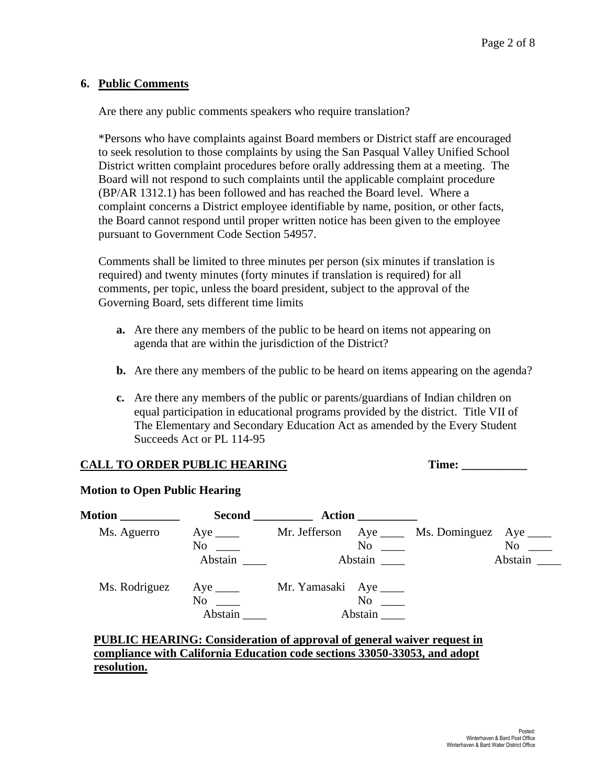#### **6. Public Comments**

Are there any public comments speakers who require translation?

\*Persons who have complaints against Board members or District staff are encouraged to seek resolution to those complaints by using the San Pasqual Valley Unified School District written complaint procedures before orally addressing them at a meeting. The Board will not respond to such complaints until the applicable complaint procedure (BP/AR 1312.1) has been followed and has reached the Board level. Where a complaint concerns a District employee identifiable by name, position, or other facts, the Board cannot respond until proper written notice has been given to the employee pursuant to Government Code Section 54957.

Comments shall be limited to three minutes per person (six minutes if translation is required) and twenty minutes (forty minutes if translation is required) for all comments, per topic, unless the board president, subject to the approval of the Governing Board, sets different time limits

- **a.** Are there any members of the public to be heard on items not appearing on agenda that are within the jurisdiction of the District?
- **b.** Are there any members of the public to be heard on items appearing on the agenda?
- **c.** Are there any members of the public or parents/guardians of Indian children on equal participation in educational programs provided by the district. Title VII of The Elementary and Secondary Education Act as amended by the Every Student Succeeds Act or PL 114-95

# **CALL TO ORDER PUBLIC HEARING Time: \_\_\_\_\_\_\_\_\_\_\_**

#### **Motion to Open Public Hearing**

| <b>Motion</b> | <b>Second</b>          | <b>Action</b>                                                                                                                                                                                                                  |            |
|---------------|------------------------|--------------------------------------------------------------------------------------------------------------------------------------------------------------------------------------------------------------------------------|------------|
| Ms. Aguerro   | $Aye$ <sub>_____</sub> | Mr. Jefferson Aye Ms. Dominguez                                                                                                                                                                                                | Aye $\_\_$ |
|               | No                     | No new contract the North State of the North State and State and State and State and State and State and State and State and State and State and State and State and State and State and State and State and State and State a | No         |
|               | Abstain                | Abstain                                                                                                                                                                                                                        | Abstain    |
| Ms. Rodriguez | Aye $\_\_\_\_\_\$      | Mr. Yamasaki Aye ______                                                                                                                                                                                                        |            |
|               | No                     | $\rm No$                                                                                                                                                                                                                       |            |
|               | Abstain                | Abstain                                                                                                                                                                                                                        |            |
|               |                        | <b>PUBLIC HEARING: Consideration of approval of general waiver request in</b>                                                                                                                                                  |            |

# **compliance with California Education code sections 33050-33053, and adopt resolution.**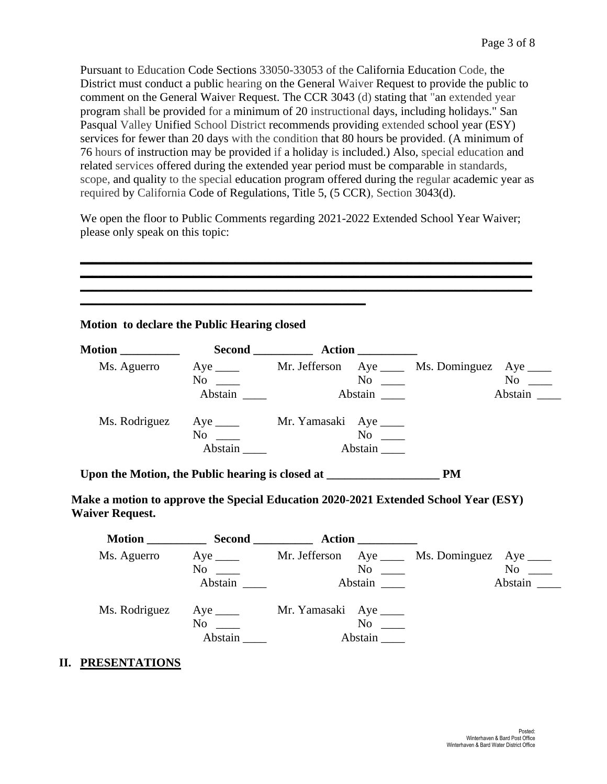Pursuant to Education Code Sections 33050-33053 of the California Education Code, the District must conduct a public hearing on the General Waiver Request to provide the public to comment on the General Waiver Request. The CCR 3043 (d) stating that "an extended year program shall be provided for a minimum of 20 instructional days, including holidays." San Pasqual Valley Unified School District recommends providing extended school year (ESY) services for fewer than 20 days with the condition that 80 hours be provided. (A minimum of 76 hours of instruction may be provided if a holiday is included.) Also, special education and related services offered during the extended year period must be comparable in standards, scope, and quality to the special education program offered during the regular academic year as required by California Code of Regulations, Title 5, (5 CCR), Section 3043(d).

We open the floor to Public Comments regarding 2021-2022 Extended School Year Waiver; please only speak on this topic:

**\_\_\_\_\_\_\_\_\_\_\_\_\_\_\_\_\_\_\_\_\_\_\_\_\_\_\_\_\_\_\_\_\_\_\_\_\_\_\_\_\_\_\_\_\_\_\_\_\_\_\_\_\_\_\_\_\_\_\_\_\_\_\_\_\_\_\_\_\_\_\_\_\_\_\_\_ \_\_\_\_\_\_\_\_\_\_\_\_\_\_\_\_\_\_\_\_\_\_\_\_\_\_\_\_\_\_\_\_\_\_\_\_\_\_\_\_\_\_\_\_\_\_\_\_\_\_\_\_\_\_\_\_\_\_\_\_\_\_\_\_\_\_\_\_\_\_\_\_\_\_\_\_**

|                        |           |                                               | Ms. Aguerro Aye ____ Mr. Jefferson Aye ____ Ms. Dominguez Aye ____                  |         |
|------------------------|-----------|-----------------------------------------------|-------------------------------------------------------------------------------------|---------|
|                        | Abstain   | $No \tImes$<br>Abstain                        |                                                                                     | Abstain |
|                        |           | Ms. Rodriguez Aye _____ Mr. Yamasaki Aye ____ |                                                                                     |         |
|                        | $No \ \_$ |                                               |                                                                                     |         |
|                        | Abstain   | Abstain                                       |                                                                                     |         |
|                        |           |                                               |                                                                                     |         |
|                        |           |                                               |                                                                                     |         |
| <b>Waiver Request.</b> |           |                                               | Make a motion to approve the Special Education 2020-2021 Extended School Year (ESY) |         |
|                        |           |                                               |                                                                                     |         |
|                        | $No \ \_$ |                                               | Ms. Aguerro Aye _____ Mr. Jefferson Aye _____ Ms. Dominguez Aye ____                |         |

Abstain **Abstain** 

#### **II. PRESENTATIONS**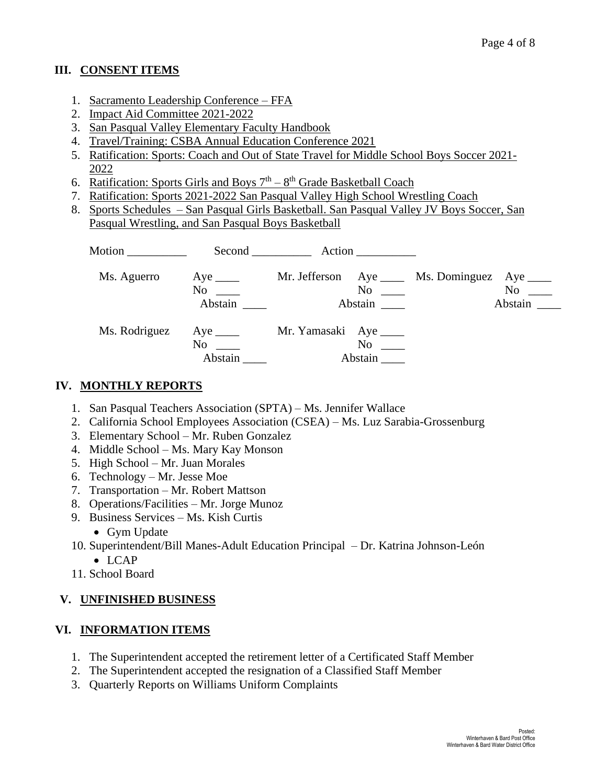# **III. CONSENT ITEMS**

- 1. Sacramento Leadership Conference FFA
- 2. Impact Aid Committee 2021-2022
- 3. San Pasqual Valley Elementary Faculty Handbook
- 4. Travel/Training: CSBA Annual Education Conference 2021
- 5. Ratification: Sports: Coach and Out of State Travel for Middle School Boys Soccer 2021- 2022
- 6. Ratification: Sports Girls and Boys  $7<sup>th</sup> 8<sup>th</sup>$  Grade Basketball Coach
- 7. Ratification: Sports 2021-2022 San Pasqual Valley High School Wrestling Coach
- 8. Sports Schedules San Pasqual Girls Basketball. San Pasqual Valley JV Boys Soccer, San Pasqual Wrestling, and San Pasqual Boys Basketball

| Motion $\frac{1}{\sqrt{1-\frac{1}{2}}\cdot\frac{1}{\sqrt{1-\frac{1}{2}}}}$ | Second                                                                                                                                                                                                                                                        |                         |                      |                                       |                             |
|----------------------------------------------------------------------------|---------------------------------------------------------------------------------------------------------------------------------------------------------------------------------------------------------------------------------------------------------------|-------------------------|----------------------|---------------------------------------|-----------------------------|
| Ms. Aguerro                                                                | Aye $\_\_$<br>No<br>Abstain                                                                                                                                                                                                                                   |                         | $No \ \_$<br>Abstain | Mr. Jefferson Aye _____ Ms. Dominguez | Aye $\_\_$<br>No<br>Abstain |
| Ms. Rodriguez                                                              | Aye $\frac{ }{ }$<br>No note that the set of the set of the set of the set of the set of the set of the set of the set of the set of the set of the set of the set of the set of the set of the set of the set of the set of the set of the set of<br>Abstain | Mr. Yamasaki Aye ______ | No<br>Abstain        |                                       |                             |

# **IV. MONTHLY REPORTS**

- 1. San Pasqual Teachers Association (SPTA) Ms. Jennifer Wallace
- 2. California School Employees Association (CSEA) Ms. Luz Sarabia-Grossenburg
- 3. Elementary School Mr. Ruben Gonzalez
- 4. Middle School Ms. Mary Kay Monson
- 5. High School Mr. Juan Morales
- 6. Technology Mr. Jesse Moe
- 7. Transportation Mr. Robert Mattson
- 8. Operations/Facilities Mr. Jorge Munoz
- 9. Business Services Ms. Kish Curtis
	- Gym Update
- 10. Superintendent/Bill Manes-Adult Education Principal Dr. Katrina Johnson-León
	- LCAP
- 11. School Board

# **V. UNFINISHED BUSINESS**

# **VI. INFORMATION ITEMS**

- 1. The Superintendent accepted the retirement letter of a Certificated Staff Member
- 2. The Superintendent accepted the resignation of a Classified Staff Member
- 3. Quarterly Reports on Williams Uniform Complaints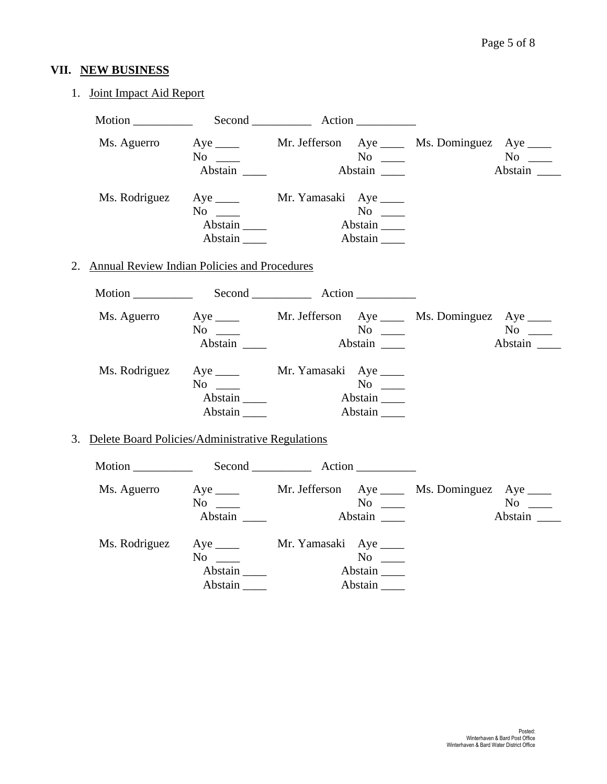# **VII. NEW BUSINESS**

# 1. Joint Impact Aid Report

| Ms. Aguerro   | $Aye$ <sub>____</sub><br>$No \_\_$<br>Abstain                                                                                                                                                                                     | $No \ \_$<br>Abstain                                                  | Mr. Jefferson Aye _____ Ms. Dominguez Aye _____<br>$No \_\_$<br>Abstain           |
|---------------|-----------------------------------------------------------------------------------------------------------------------------------------------------------------------------------------------------------------------------------|-----------------------------------------------------------------------|-----------------------------------------------------------------------------------|
| Ms. Rodriguez | Aye $\_\_\_\_\_\$<br>$No \ \_$<br>Abstain<br>Abstain                                                                                                                                                                              | Mr. Yamasaki Aye _____<br>$No \ \_$<br>Abstain<br>Abstain             |                                                                                   |
|               | 2. Annual Review Indian Policies and Procedures                                                                                                                                                                                   |                                                                       |                                                                                   |
|               |                                                                                                                                                                                                                                   |                                                                       |                                                                                   |
| Ms. Aguerro   | $No \ \_$<br>Abstain                                                                                                                                                                                                              | $\overline{N_0}$<br>Abstain                                           | Aye ______ Mr. Jefferson Aye _____ Ms. Dominguez Aye ____<br>$No \ \_$<br>Abstain |
| Ms. Rodriguez | $No \ \_$<br>Abstain<br>Abstain                                                                                                                                                                                                   | Aye _______ Mr. Yamasaki Aye _____<br>$No \ \_$<br>Abstain<br>Abstain |                                                                                   |
|               | 3. Delete Board Policies/Administrative Regulations                                                                                                                                                                               |                                                                       |                                                                                   |
|               |                                                                                                                                                                                                                                   |                                                                       |                                                                                   |
| Ms. Aguerro   | No new years of the New York of the New York of the New York of the New York of the New York of the New York o<br>New York of the New York of the New York of the New York of the New York of the New York of the New York of the | $No \_$                                                               | Aye ______ Mr. Jefferson Aye _____ Ms. Dominguez Aye ____<br>$No \ \_$<br>Abstain |
| Ms. Rodriguez | Aye $\_\_\_\_\_\$<br>$No \ \_$<br>Abstain<br>Abstain                                                                                                                                                                              | Mr. Yamasaki Aye _____<br>$No \ \_$<br>Abstain<br>Abstain             |                                                                                   |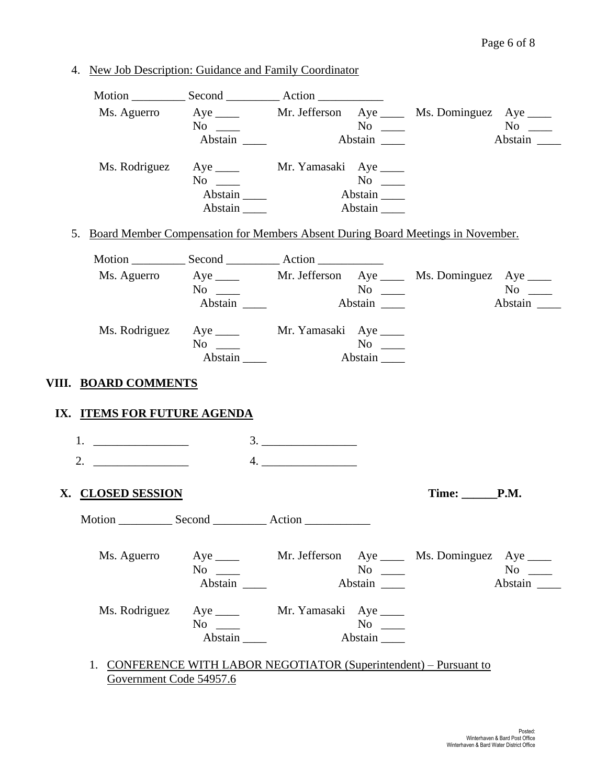4. New Job Description: Guidance and Family Coordinator

|                             |                            |                                                                                    | Ms. Aguerro Aye _____ Mr. Jefferson Aye ____ Ms. Dominguez Aye ____ |
|-----------------------------|----------------------------|------------------------------------------------------------------------------------|---------------------------------------------------------------------|
|                             | $\mathrm{No} \ \_\_\_\$    |                                                                                    |                                                                     |
|                             | Abstain                    |                                                                                    | Abstain                                                             |
|                             |                            | Ms. Rodriguez Aye _____ Mr. Yamasaki Aye ____                                      |                                                                     |
|                             | $No \ \_$                  |                                                                                    |                                                                     |
|                             | Abstain                    | Abstain                                                                            |                                                                     |
|                             | $Abstain$ <sub>_____</sub> | Abstain                                                                            |                                                                     |
|                             |                            | 5. Board Member Compensation for Members Absent During Board Meetings in November. |                                                                     |
|                             |                            |                                                                                    |                                                                     |
|                             |                            |                                                                                    | Ms. Aguerro Aye _____ Mr. Jefferson Aye ____ Ms. Dominguez Aye ____ |
|                             | $No \_$                    |                                                                                    | $No \ \_$                                                           |
|                             | Abstain                    | Abstain                                                                            | Abstain                                                             |
|                             |                            | Ms. Rodriguez Aye _____ Mr. Yamasaki Aye ____                                      |                                                                     |
|                             | $No \ \_$                  | $No \ \_$                                                                          |                                                                     |
|                             | Abstain                    | Abstain                                                                            |                                                                     |
| VIII. BOARD COMMENTS        |                            |                                                                                    |                                                                     |
| IX. ITEMS FOR FUTURE AGENDA |                            |                                                                                    |                                                                     |
|                             |                            |                                                                                    |                                                                     |
| $1.$ $\qquad \qquad$        |                            | 3.                                                                                 |                                                                     |
| 2. $\qquad \qquad$          |                            |                                                                                    |                                                                     |
| X. CLOSED SESSION           |                            |                                                                                    | $Time: \_\_\_P.M.$                                                  |
|                             |                            |                                                                                    |                                                                     |
|                             |                            |                                                                                    |                                                                     |
| Ms. Aguerro                 |                            |                                                                                    | Aye ______ Mr. Jefferson Aye _____ Ms. Dominguez Aye ____           |
|                             | $No \ \_$                  | $No \ \_$                                                                          | $No \ \_$                                                           |
|                             | Abstain                    | Abstain                                                                            | Abstain                                                             |
| Ms. Rodriguez               |                            | Aye ______ Mr. Yamasaki Aye _____                                                  |                                                                     |
|                             | $No \ \_$                  | $No \ \_$                                                                          |                                                                     |
|                             | Abstain                    | Abstain                                                                            |                                                                     |
|                             |                            |                                                                                    |                                                                     |
|                             |                            | 1. CONFERENCE WITH LABOR NEGOTIATOR (Superintendent) – Pursuant to                 |                                                                     |

Government Code 54957.6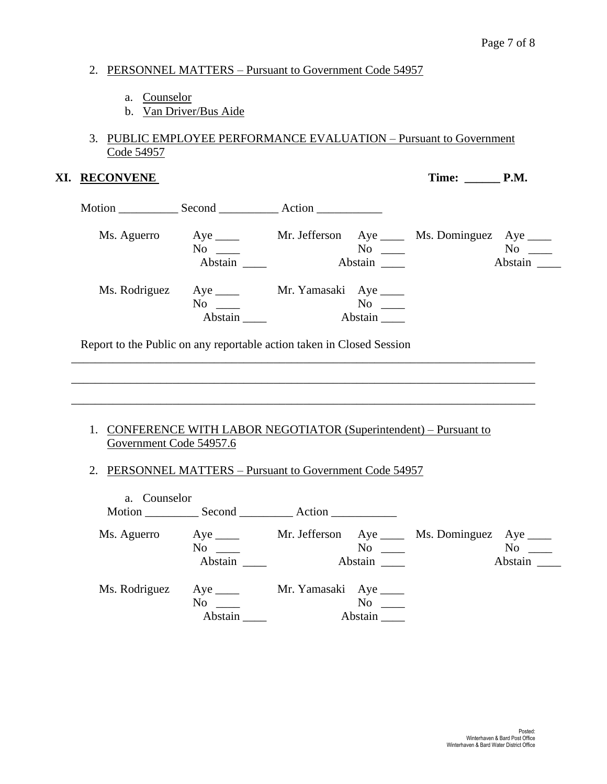#### 2. PERSONNEL MATTERS – Pursuant to Government Code 54957

- a. Counselor
- b. Van Driver/Bus Aide

### 3. PUBLIC EMPLOYEE PERFORMANCE EVALUATION – Pursuant to Government Code 54957

#### **XI. RECONVENE** Time: \_\_\_\_\_\_ **P.M.**

|               |                                      | Action           |               |                            |               |
|---------------|--------------------------------------|------------------|---------------|----------------------------|---------------|
| Ms. Aguerro   | Aye $\_\_\_\_\_\$<br>No<br>Abstain   | Mr. Jefferson    | No<br>Abstain | Aye ________ Ms. Dominguez | No<br>Abstain |
| Ms. Rodriguez | Aye $\_\_\_\_\_\_\$<br>No<br>Abstain | Mr. Yamasaki Aye | No<br>Abstain |                            |               |

Report to the Public on any reportable action taken in Closed Session

#### 1. CONFERENCE WITH LABOR NEGOTIATOR (Superintendent) – Pursuant to Government Code 54957.6

\_\_\_\_\_\_\_\_\_\_\_\_\_\_\_\_\_\_\_\_\_\_\_\_\_\_\_\_\_\_\_\_\_\_\_\_\_\_\_\_\_\_\_\_\_\_\_\_\_\_\_\_\_\_\_\_\_\_\_\_\_\_\_\_\_\_\_\_\_\_\_\_\_\_\_\_\_\_

\_\_\_\_\_\_\_\_\_\_\_\_\_\_\_\_\_\_\_\_\_\_\_\_\_\_\_\_\_\_\_\_\_\_\_\_\_\_\_\_\_\_\_\_\_\_\_\_\_\_\_\_\_\_\_\_\_\_\_\_\_\_\_\_\_\_\_\_\_\_\_\_\_\_\_\_\_\_

\_\_\_\_\_\_\_\_\_\_\_\_\_\_\_\_\_\_\_\_\_\_\_\_\_\_\_\_\_\_\_\_\_\_\_\_\_\_\_\_\_\_\_\_\_\_\_\_\_\_\_\_\_\_\_\_\_\_\_\_\_\_\_\_\_\_\_\_\_\_\_\_\_\_\_\_\_\_

# 2. PERSONNEL MATTERS – Pursuant to Government Code 54957

| Counselor<br>a.<br>Motion | Second                                              | Action                                                                                                                                                                                                                                                                             |               |
|---------------------------|-----------------------------------------------------|------------------------------------------------------------------------------------------------------------------------------------------------------------------------------------------------------------------------------------------------------------------------------------|---------------|
| Ms. Aguerro               | $Aye$ <sub>_____</sub><br>No<br>Abstain             | Mr. Jefferson Aye _____ Ms. Dominguez<br>No new contract the North State of the North State and State and State and State and State and State and State and State and State and State and State and State and State and State and State and State and State and State a<br>Abstain | No<br>Abstain |
| Ms. Rodriguez             | $Aye$ <sub>_____</sub><br>N <sub>0</sub><br>Abstain | Mr. Yamasaki Aye ______<br>No<br>Abstain                                                                                                                                                                                                                                           |               |